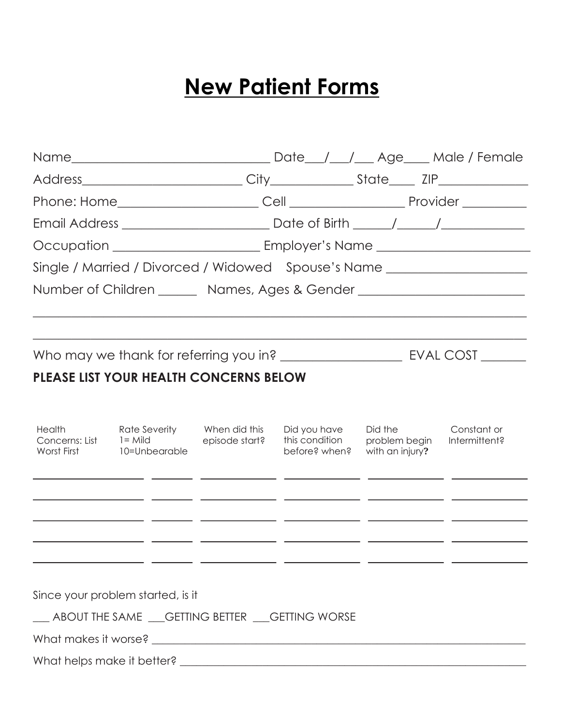## **New Patient Forms**

|                       |                                                                           |                | Date <sub>___</sub> /___/___ Age____ Male / Female |                                                                                                                                                    |                                                                                  |  |  |  |
|-----------------------|---------------------------------------------------------------------------|----------------|----------------------------------------------------|----------------------------------------------------------------------------------------------------------------------------------------------------|----------------------------------------------------------------------------------|--|--|--|
|                       |                                                                           |                |                                                    |                                                                                                                                                    |                                                                                  |  |  |  |
|                       | Phone: Home______________________                                         |                |                                                    |                                                                                                                                                    |                                                                                  |  |  |  |
|                       |                                                                           |                |                                                    |                                                                                                                                                    |                                                                                  |  |  |  |
|                       |                                                                           |                |                                                    |                                                                                                                                                    |                                                                                  |  |  |  |
|                       |                                                                           |                |                                                    |                                                                                                                                                    | Single / Married / Divorced / Widowed Spouse's Name ____________________________ |  |  |  |
|                       |                                                                           |                |                                                    |                                                                                                                                                    | Number of Children _______ Names, Ages & Gender ________________________________ |  |  |  |
|                       |                                                                           |                |                                                    |                                                                                                                                                    |                                                                                  |  |  |  |
|                       |                                                                           |                |                                                    |                                                                                                                                                    |                                                                                  |  |  |  |
|                       | PLEASE LIST YOUR HEALTH CONCERNS BELOW                                    |                |                                                    |                                                                                                                                                    |                                                                                  |  |  |  |
| Health<br>Worst First | Rate Severity Mhen did this<br>Concerns: List $1 =$ Mild<br>10=Unbearable | episode start? | Did you have<br>this condition<br>before? when?    | Did the the state of the state of the state of the state of the state of the state of the state of the state o<br>problem begin<br>with an injury? | Constant or<br>Intermittent?                                                     |  |  |  |
|                       | _________                                                                 |                |                                                    |                                                                                                                                                    |                                                                                  |  |  |  |
|                       |                                                                           |                |                                                    |                                                                                                                                                    |                                                                                  |  |  |  |
|                       | Since your problem started, is it                                         |                |                                                    |                                                                                                                                                    |                                                                                  |  |  |  |
|                       |                                                                           |                | __ ABOUT THE SAME __GETTING BETTER __GETTING WORSE |                                                                                                                                                    |                                                                                  |  |  |  |
|                       |                                                                           |                |                                                    |                                                                                                                                                    |                                                                                  |  |  |  |
|                       |                                                                           |                |                                                    |                                                                                                                                                    |                                                                                  |  |  |  |